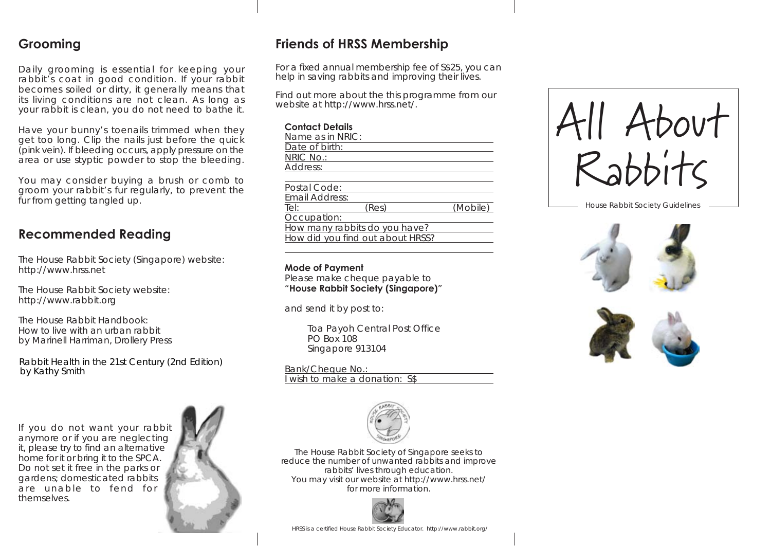# **Grooming**

Daily grooming is essential for keeping your rabbit's coat in good condition. If your rabbit becomes soiled or dirty, it generally means that its living conditions are not clean. As long as your rabbit is clean, you do not need to bathe it.

Have your bunny's toenails trimmed when they get too long. Clip the nails just before the quick (pink vein). If bleeding occurs, apply pressure on the area or use styptic powder to stop the bleeding.

You may consider buying a brush or comb to groom your rabbit's fur regularly, to prevent the fur from getting tangled up.

# **Recommended Reading**

The House Rabbit Society (Singapore) website: http://www.hrss.net

The House Rabbit Society website: http://www.rabbit.org

The House Rabbit Handbook: How to live with an urban rabbit by Marinell Harriman, Drollery Press

Rabbit Health in the 21st Century (2nd Edition) by Kathy Smith

If you do not want your rabbit anymore or if you are neglecting it, please try to find an alternative home for it or bring it to the SPCA. Do not set it free in the parks or gardens; domesticated rabbits are unable to fend for themselves.



# **Friends of HRSS Membership**

For a fixed annual membership fee of S\$25, you can help in saving rabbits and improving their lives.

Find out more about the this programme from our website at http://www.hrss.net/.

#### **Contact Details**

| Name as in NRIC: |       |          |
|------------------|-------|----------|
| Date of birth:   |       |          |
| NRIC No.:        |       |          |
| Address:         |       |          |
|                  |       |          |
| Postal Code:     |       |          |
| Email Address:   |       |          |
| Tel:             | (Res) | (Mobile) |
| Occupation:      |       |          |

Occupation:

How many rabbits do you have? How did you find out about HRSS?

#### **Mode of Payment**

Please make cheque payable to "**House Rabbit Society (Singapore)**"

and send it by post to:

 Toa Payoh Central Post Office PO Box 108 Singapore 913104

Bank/Cheque No.: I wish to make a donation: S\$



The House Rabbit Society of Singapore seeks to reduce the number of unwanted rabbits and improve rabbits' lives through education. You may visit our website at http://www.hrss.net/ for more information.



HRSS is a certified House Rabbit Society Educator. http://www.rabbit.org/



House Rabbit Society Guidelines